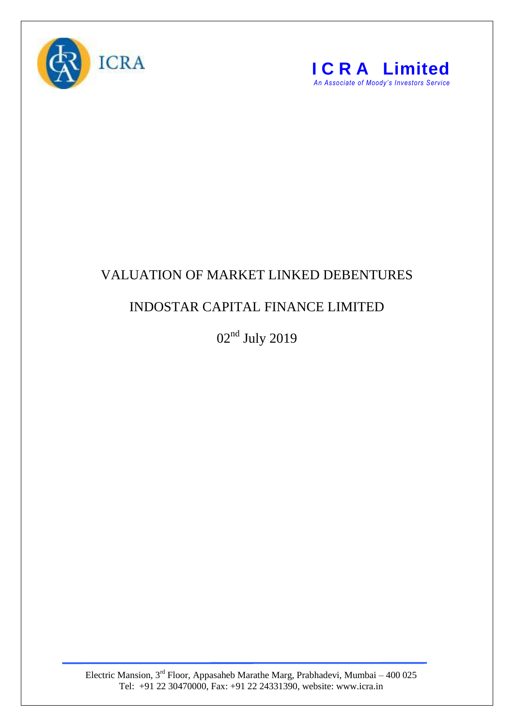



## VALUATION OF MARKET LINKED DEBENTURES

## INDOSTAR CAPITAL FINANCE LIMITED

02nd July 2019

Electric Mansion,  $3<sup>rd</sup>$  Floor, Appasaheb Marathe Marg, Prabhadevi, Mumbai – 400 025 Tel: +91 22 30470000, Fax: +91 22 24331390, website: www.icra.in